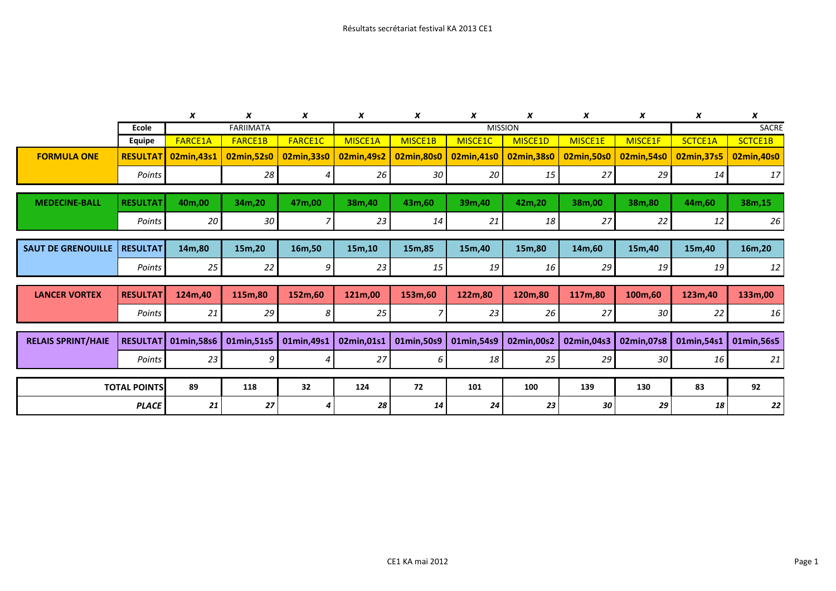|                           |                 | X              | x                | x              | x              | X          | X           | x           | x          | x          | x           | X           |  |
|---------------------------|-----------------|----------------|------------------|----------------|----------------|------------|-------------|-------------|------------|------------|-------------|-------------|--|
|                           | Ecole           |                | <b>FARIIMATA</b> |                | <b>MISSION</b> |            |             |             |            |            | SACRE       |             |  |
|                           | Equipe          | <b>FARCE1A</b> | <b>FARCE1B</b>   | <b>FARCE1C</b> | MISCE1A        | MISCE1B    | MISCE1C     | MISCE1D     | MISCE1E    | MISCE1F    | SCTCE1A     | SCTCE1B     |  |
| <b>FORMULA ONE</b>        | <b>RESULTAT</b> | 02min,43s1     | 02min,52s0       | 02min, 33s0    | 02min,49s2     | 02min,80s0 | 02min,41s0  | 02min, 38s0 | 02min,50s0 | 02min,54s0 | 02min, 37s5 | 02min,40s0  |  |
|                           | Points          |                | 28               | 4              | 26             | 30         | 20          | 15          | 27         | 29         | 14          | 17          |  |
| <b>MEDECINE-BALL</b>      | <b>RESULTAT</b> | 40m,00         | 34m,20           | 47m,00         | 38m,40         | 43m,60     | 39m,40      | 42m,20      | 38m,00     | 38m,80     | 44m,60      | 38m,15      |  |
|                           |                 |                |                  |                |                |            |             |             |            |            |             |             |  |
|                           | Points          | 20             | 30               |                | 23             | 14         | 21          | 18          | 27         | 22         | 12          | 26          |  |
|                           |                 |                |                  |                |                |            |             |             |            |            |             |             |  |
| <b>SAUT DE GRENOUILLE</b> | <b>RESULTAT</b> | 14m,80         | 15m,20           | 16m,50         | 15m,10         | 15m,85     | 15m,40      | 15m,80      | 14m,60     | 15m,40     | 15m,40      | 16m,20      |  |
|                           | Points          | 25             | 22               | 9              | 23             | 15         | 19          | 16          | 29         | 19         | 19          | 12          |  |
|                           |                 |                |                  |                |                |            |             |             |            |            |             |             |  |
| <b>LANCER VORTEX</b>      | <b>RESULTAT</b> | 124m,40        | 115m,80          | 152m,60        | 121m,00        | 153m,60    | 122m,80     | 120m,80     | 117m,80    | 100m,60    | 123m,40     | 133m,00     |  |
|                           | Points          | 21             | 29               | 8              | 25             |            | 23          | 26          | 27         | 30         | 22          | 16          |  |
|                           |                 |                |                  |                |                |            |             |             |            |            |             |             |  |
| <b>RELAIS SPRINT/HAIE</b> | <b>RESULTAT</b> | 01min,58s6     | 01min,51s5       | 01min,49s1     | 02min,01s1     | 01min,50s9 | 01min, 54s9 | 02min,00s2  | 02min,04s3 | 02min,07s8 | 01min,54s1  | 01min, 56s5 |  |
|                           | Points          | 23             | 9                | 4              | 27             | 6          | 18          | 25          | 29         | 30         | 16          | 21          |  |
|                           |                 |                |                  |                |                |            |             |             |            |            |             |             |  |
| <b>TOTAL POINTS</b>       |                 | 89             | 118              | 32             | 124            | 72         | 101         | 100         | 139        | 130        | 83          | 92          |  |
| <b>PLACE</b>              |                 | 21             | 27               | 4              | 28             | 14         | 24          | 23          | 30         | 29         | 18          | 22          |  |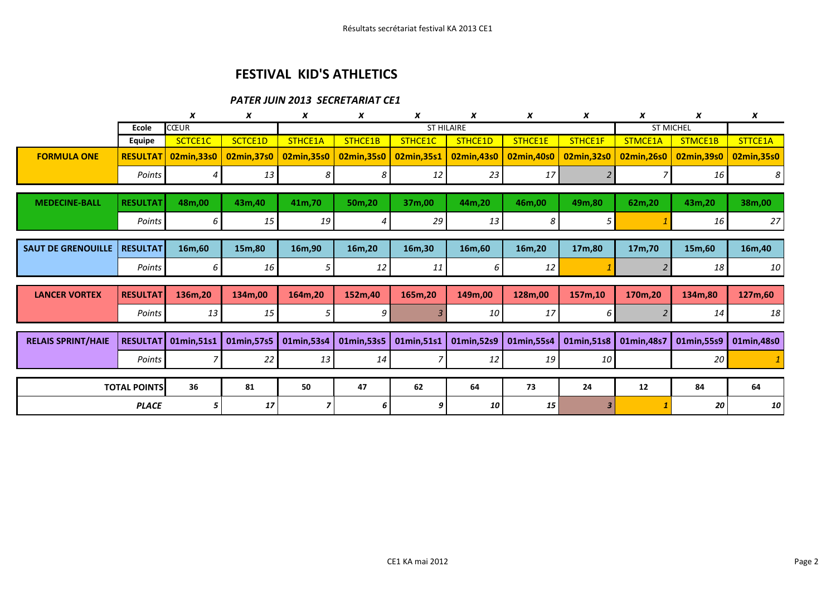## FESTIVAL KID'S ATHLETICS

## PATER JUIN 2013 SECRETARIAT CE1

|                           |                             | X           | X           | X                 | X           | x           | X          | X          | X           | X                | X           | X               |
|---------------------------|-----------------------------|-------------|-------------|-------------------|-------------|-------------|------------|------------|-------------|------------------|-------------|-----------------|
|                           | <b>CŒUR</b><br><b>Ecole</b> |             |             | <b>ST HILAIRE</b> |             |             |            |            |             | <b>ST MICHEL</b> |             |                 |
|                           | <b>Equipe</b>               | SCTCE1C     | SCTCE1D     | STHCE1A           | STHCE1B     | STHCE1C     | STHCE1D    | STHCE1E    | STHCE1F     | STMCE1A          | STMCE1B     | STTCE1A         |
| <b>FORMULA ONE</b>        | <b>RESULTAT</b>             | 02min, 33s0 | 02min, 37s0 | 02min, 35s0       | 02min, 35s0 | 02min, 35s1 | 02min,43s0 | 02min,40s0 | 02min, 32s0 | 02min,26s0       | 02min, 39s0 | 02min, 35s0     |
|                           | Points                      |             | 13          | 8                 | 8           | 12          | 23         | 17         |             |                  | 16          | 8 <sup>1</sup>  |
|                           |                             |             |             |                   |             |             |            |            |             |                  |             |                 |
| <b>MEDECINE-BALL</b>      | <b>RESULTAT</b>             | 48m,00      | 43m,40      | 41m,70            | 50m,20      | 37m,00      | 44m,20     | 46m,00     | 49m,80      | 62m,20           | 43m,20      | 38m,00          |
|                           | Points                      | 6           | 15          | 19                |             | 29          | 13         | 8          | 5           |                  | 16          | 27              |
|                           |                             |             |             |                   |             |             |            |            |             |                  |             |                 |
| <b>SAUT DE GRENOUILLE</b> | <b>RESULTAT</b>             | 16m,60      | 15m,80      | 16m,90            | 16m,20      | 16m,30      | 16m,60     | 16m,20     | 17m,80      | 17m,70           | 15m,60      | 16m,40          |
|                           | Points                      | 6           | 16          | 5                 | 12          | 11          | 6          | 12         |             |                  | 18          | 10 <sup>1</sup> |
|                           |                             |             |             |                   |             |             |            |            |             |                  |             |                 |
| <b>LANCER VORTEX</b>      | <b>RESULTAT</b>             | 136m,20     | 134m,00     | 164m,20           | 152m,40     | 165m,20     | 149m,00    | 128m,00    | 157m,10     | 170m,20          | 134m,80     | 127m,60         |
|                           | Points                      | 13          | 15          | 5                 | 9 I         |             | 10         | 17         | 6           |                  | 14          | 18              |
|                           |                             |             |             |                   |             |             |            |            |             |                  |             |                 |
| <b>RELAIS SPRINT/HAIE</b> | <b>RESULTAT</b>             | 01min,51s1  | 01min, 57s5 | 01min,53s4        | 01min,53s5  | 01min, 51s1 | 01min,52s9 | 01min,55s4 | 01min,51s8  | 01min, 48s7      | 01min,55s9  | 01min,48s0      |
|                           | Points                      |             | 22          | 13                | 14          |             | 12         | 19         | 10          |                  | 20          |                 |
|                           |                             |             |             |                   |             |             |            |            |             |                  |             |                 |
| <b>TOTAL POINTS</b>       |                             | 36          | 81          | 50                | 47          | 62          | 64         | 73         | 24          | 12               | 84          | 64              |
| <b>PLACE</b>              |                             | 5           | 17          |                   |             |             | 10         | 15         |             |                  | 20          | 10 <sub>1</sub> |